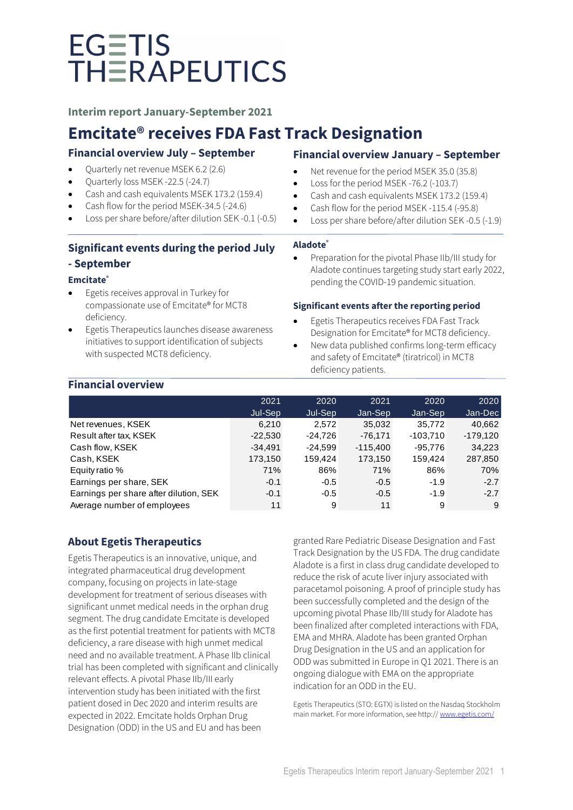**Interim report January-September 2021**

### **Emcitate® receives FDA Fast Track Designation**

### **Financial overview July – September**

- Quarterly net revenue MSEK 6.2 (2.6)
- Quarterly loss MSEK -22.5 (-24.7)
- Cash and cash equivalents MSEK 173.2 (159.4)
- Cash flow for the period MSEK-34.5 (-24.6)
- Loss per share before/after dilution SEK -0.1 (-0.5)

### **Significant events during the period July**

### **- September**

### **Emcitate®**

- Egetis receives approval in Turkey for compassionate use of Emcitate® for MCT8 deficiency.
- Egetis Therapeutics launches disease awareness initiatives to support identification of subjects with suspected MCT8 deficiency.

### **Financial overview January – September**

- Net revenue for the period MSEK 35.0 (35.8)
- Loss for the period MSEK -76.2 (-103.7)
- Cash and cash equivalents MSEK 173.2 (159.4)
- Cash flow for the period MSEK -115.4 (-95.8)
- Loss per share before/after dilution SEK -0.5 (-1.9)

### **Aladote®**

• Preparation for the pivotal Phase IIb/III study for Aladote continues targeting study start early 2022, pending the COVID-19 pandemic situation.

### **Significant events after the reporting period**

- Egetis Therapeutics receives FDA Fast Track Designation for Emcitate® for MCT8 deficiency.
- New data published confirms long-term efficacy and safety of Emcitate® (tiratricol) in MCT8 deficiency patients.

### **Financial overview**

|                                        | 2021      | 2020      | 2021       | 2020       | 2020       |
|----------------------------------------|-----------|-----------|------------|------------|------------|
|                                        | Jul-Sep   | Jul-Sep   | Jan-Sep    | Jan-Sep    | Jan-Dec    |
| Net revenues, KSEK                     | 6,210     | 2.572     | 35,032     | 35,772     | 40,662     |
| Result after tax, KSEK                 | $-22,530$ | $-24,726$ | $-76,171$  | $-103,710$ | $-179,120$ |
| Cash flow, KSEK                        | $-34.491$ | $-24.599$ | $-115.400$ | $-95.776$  | 34,223     |
| Cash, KSEK                             | 173,150   | 159,424   | 173,150    | 159.424    | 287,850    |
| Equity ratio %                         | 71%       | 86%       | 71%        | 86%        | 70%        |
| Earnings per share, SEK                | $-0.1$    | $-0.5$    | $-0.5$     | $-1.9$     | $-2.7$     |
| Earnings per share after dilution, SEK | $-0.1$    | $-0.5$    | $-0.5$     | $-1.9$     | $-2.7$     |
| Average number of employees            | 11        | 9         | 11         | 9          | 9          |

### **About Egetis Therapeutics**

Egetis Therapeutics is an innovative, unique, and integrated pharmaceutical drug development company, focusing on projects in late-stage development for treatment of serious diseases with significant unmet medical needs in the orphan drug segment. The drug candidate Emcitate is developed as the first potential treatment for patients with MCT8 deficiency, a rare disease with high unmet medical need and no available treatment. A Phase IIb clinical trial has been completed with significant and clinically relevant effects. A pivotal Phase IIb/III early intervention study has been initiated with the first patient dosed in Dec 2020 and interim results are expected in 2022. Emcitate holds Orphan Drug Designation (ODD) in the US and EU and has been

granted Rare Pediatric Disease Designation and Fast Track Designation by the US FDA. The drug candidate Aladote is a first in class drug candidate developed to reduce the risk of acute liver injury associated with paracetamol poisoning. A proof of principle study has been successfully completed and the design of the upcoming pivotal Phase IIb/III study for Aladote has been finalized after completed interactions with FDA, EMA and MHRA. Aladote has been granted Orphan Drug Designation in the US and an application for ODD was submitted in Europe in Q1 2021. There is an ongoing dialogue with EMA on the appropriate indication for an ODD in the EU.

Egetis Therapeutics (STO: EGTX) is listed on the Nasdaq Stockholm main market. For more information, see http:/[/ www.egetis.com/](http://www.egetis.com/)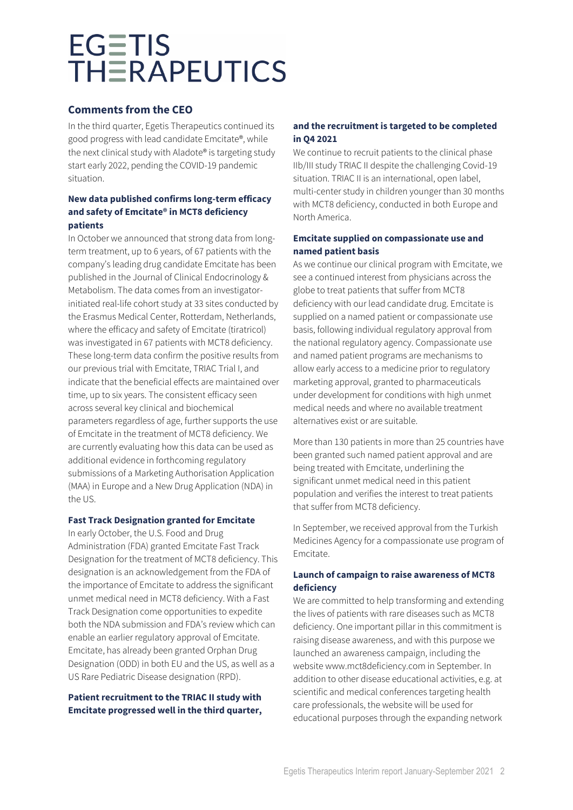### **Comments from the CEO**

In the third quarter, Egetis Therapeutics continued its good progress with lead candidate Emcitate®, while the next clinical study with Aladote® is targeting study start early 2022, pending the COVID-19 pandemic situation.

### **New data published confirms long-term efficacy and safety of Emcitate® in MCT8 deficiency patients**

In October we announced that strong data from longterm treatment, up to 6 years, of 67 patients with the company's leading drug candidate Emcitate has been published in the Journal of Clinical Endocrinology & Metabolism. The data comes from an investigatorinitiated real-life cohort study at 33 sites conducted by the Erasmus Medical Center, Rotterdam, Netherlands, where the efficacy and safety of Emcitate (tiratricol) was investigated in 67 patients with MCT8 deficiency. These long-term data confirm the positive results from our previous trial with Emcitate, TRIAC Trial I, and indicate that the beneficial effects are maintained over time, up to six years. The consistent efficacy seen across several key clinical and biochemical parameters regardless of age, further supports the use of Emcitate in the treatment of MCT8 deficiency. We are currently evaluating how this data can be used as additional evidence in forthcoming regulatory submissions of a Marketing Authorisation Application (MAA) in Europe and a New Drug Application (NDA) in the US.

### **Fast Track Designation granted for Emcitate**

In early October, the U.S. Food and Drug Administration (FDA) granted Emcitate Fast Track Designation for the treatment of MCT8 deficiency. This designation is an acknowledgement from the FDA of the importance of Emcitate to address the significant unmet medical need in MCT8 deficiency. With a Fast Track Designation come opportunities to expedite both the NDA submission and FDA's review which can enable an earlier regulatory approval of Emcitate. Emcitate, has already been granted Orphan Drug Designation (ODD) in both EU and the US, as well as a US Rare Pediatric Disease designation (RPD).

### **Patient recruitment to the TRIAC II study with Emcitate progressed well in the third quarter,**

### **and the recruitment is targeted to be completed in Q4 2021**

We continue to recruit patients to the clinical phase IIb/III study TRIAC II despite the challenging Covid-19 situation. TRIAC II is an international, open label, multi-center study in children younger than 30 months with MCT8 deficiency, conducted in both Europe and North America.

### **Emcitate supplied on compassionate use and named patient basis**

As we continue our clinical program with Emcitate, we see a continued interest from physicians across the globe to treat patients that suffer from MCT8 deficiency with our lead candidate drug. Emcitate is supplied on a named patient or compassionate use basis, following individual regulatory approval from the national regulatory agency. Compassionate use and named patient programs are mechanisms to allow early access to a medicine prior to regulatory marketing approval, granted to pharmaceuticals under development for conditions with high unmet medical needs and where no available treatment alternatives exist or are suitable.

More than 130 patients in more than 25 countries have been granted such named patient approval and are being treated with Emcitate, underlining the significant unmet medical need in this patient population and verifies the interest to treat patients that suffer from MCT8 deficiency.

In September, we received approval from the Turkish Medicines Agency for a compassionate use program of Emcitate.

### **Launch of campaign to raise awareness of MCT8 deficiency**

We are committed to help transforming and extending the lives of patients with rare diseases such as MCT8 deficiency. One important pillar in this commitment is raising disease awareness, and with this purpose we launched an awareness campaign, including the website www.mct8deficiency.com in September. In addition to other disease educational activities, e.g. at scientific and medical conferences targeting health care professionals, the website will be used for educational purposes through the expanding network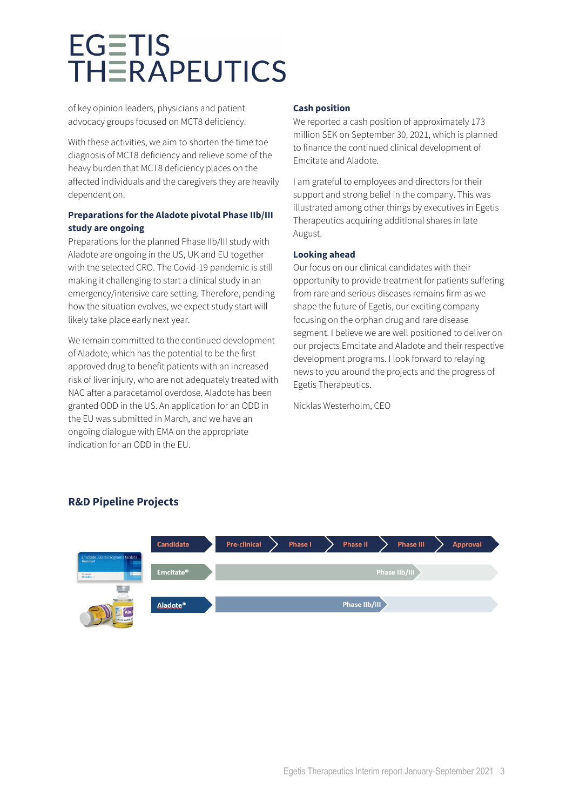of key opinion leaders, physicians and patient advocacy groups focused on MCT8 deficiency.

With these activities, we aim to shorten the time toe diagnosis of MCT8 deficiency and relieve some of the heavy burden that MCT8 deficiency places on the affected individuals and the caregivers they are heavily dependent on.

### **Preparations for the Aladote pivotal Phase IIb/III study are ongoing**

Preparations for the planned Phase IIb/III study with Aladote are ongoing in the US, UK and EU together with the selected CRO. The Covid-19 pandemic is still making it challenging to start a clinical study in an emergency/intensive care setting. Therefore, pending how the situation evolves, we expect study start will likely take place early next year.

We remain committed to the continued development of Aladote, which has the potential to be the first approved drug to benefit patients with an increased risk of liver injury, who are not adequately treated with NAC after a paracetamol overdose. Aladote has been granted ODD in the US. An application for an ODD in the EU was submitted in March, and we have an ongoing dialogue with EMA on the appropriate indication for an ODD in the EU.

### **Cash position**

We reported a cash position of approximately 173 million SEK on September 30, 2021, which is planned to finance the continued clinical development of Emcitate and Aladote.

I am grateful to employees and directors for their support and strong belief in the company. This was illustrated among other things by executives in Egetis Therapeutics acquiring additional shares in late August.

### **Looking ahead**

Our focus on our clinical candidates with their opportunity to provide treatment for patients suffering from rare and serious diseases remains firm as we shape the future of Egetis, our exciting company focusing on the orphan drug and rare disease segment. I believe we are well positioned to deliver on our projects Emcitate and Aladote and their respective development programs. I look forward to relaying news to you around the projects and the progress of Egetis Therapeutics.

Nicklas Westerholm, CEO



### **R&D Pipeline Projects**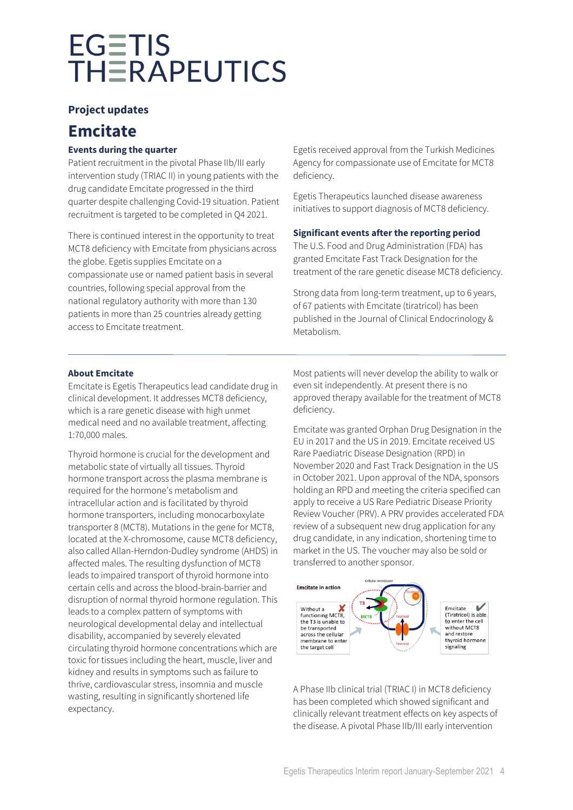### **Project updates**

### **Emcitate**

### **Events during the quarter**

Patient recruitment in the pivotal Phase IIb/III early intervention study (TRIAC II) in young patients with the drug candidate Emcitate progressed in the third quarter despite challenging Covid-19 situation. Patient recruitment is targeted to be completed in Q4 2021.

There is continued interest in the opportunity to treat MCT8 deficiency with Emcitate from physicians across the globe. Egetis supplies Emcitate on a compassionate use or named patient basis in several countries, following special approval from the national regulatory authority with more than 130 patients in more than 25 countries already getting access to Emcitate treatment.

Egetis received approval from the Turkish Medicines Agency for compassionate use of Emcitate for MCT8 deficiency.

Egetis Therapeutics launched disease awareness initiatives to support diagnosis of MCT8 deficiency.

### **Significant events after the reporting period**

The U.S. Food and Drug Administration (FDA) has granted Emcitate Fast Track Designation for the treatment of the rare genetic disease MCT8 deficiency.

Strong data from long-term treatment, up to 6 years, of 67 patients with Emcitate (tiratricol) has been published in the Journal of Clinical Endocrinology & Metabolism.

### **About Emcitate**

Emcitate is Egetis Therapeutics lead candidate drug in clinical development. It addresses MCT8 deficiency, which is a rare genetic disease with high unmet medical need and no available treatment, affecting 1:70,000 males.

Thyroid hormone is crucial for the development and metabolic state of virtually all tissues. Thyroid hormone transport across the plasma membrane is required for the hormone's metabolism and intracellular action and is facilitated by thyroid hormone transporters, including monocarboxylate transporter 8 (MCT8). Mutations in the gene for MCT8, located at the X-chromosome, cause MCT8 deficiency, also called Allan-Herndon-Dudley syndrome (AHDS) in affected males. The resulting dysfunction of MCT8 leads to impaired transport of thyroid hormone into certain cells and across the blood-brain-barrier and disruption of normal thyroid hormone regulation. This leads to a complex pattern of symptoms with neurological developmental delay and intellectual disability, accompanied by severely elevated circulating thyroid hormone concentrations which are toxic for tissues including the heart, muscle, liver and kidney and results in symptoms such as failure to thrive, cardiovascular stress, insomnia and muscle wasting, resulting in significantly shortened life expectancy.

Most patients will never develop the ability to walk or even sit independently. At present there is no approved therapy available for the treatment of MCT8 deficiency.

Emcitate was granted Orphan Drug Designation in the EU in 2017 and the US in 2019. Emcitate received US Rare Paediatric Disease Designation (RPD) in November 2020 and Fast Track Designation in the US in October 2021. Upon approval of the NDA, sponsors holding an RPD and meeting the criteria specified can apply to receive a US Rare Pediatric Disease Priority Review Voucher (PRV). A PRV provides accelerated FDA review of a subsequent new drug application for any drug candidate, in any indication, shortening time to market in the US. The voucher may also be sold or transferred to another sponsor.



A Phase IIb clinical trial (TRIAC I) in MCT8 deficiency has been completed which showed significant and clinically relevant treatment effects on key aspects of the disease. A pivotal Phase IIb/III early intervention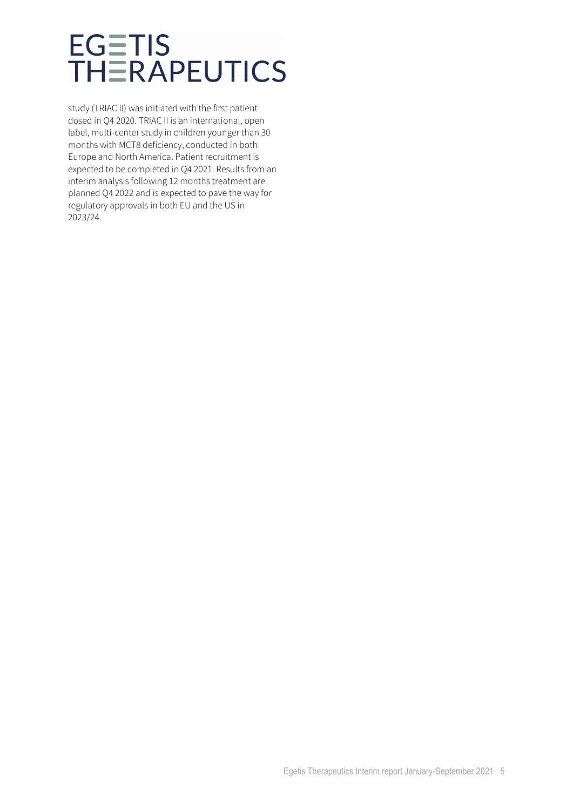study (TRIAC II) was initiated with the first patient dosed in Q4 2020. TRIAC II is an international, open label, multi-center study in children younger than 30 months with MCT8 deficiency, conducted in both Europe and North America. Patient recruitment is expected to be completed in Q4 2021. Results from an interim analysis following 12 months treatment are planned Q4 2022 and is expected to pave the way for regulatory approvals in both EU and the US in 2023/24.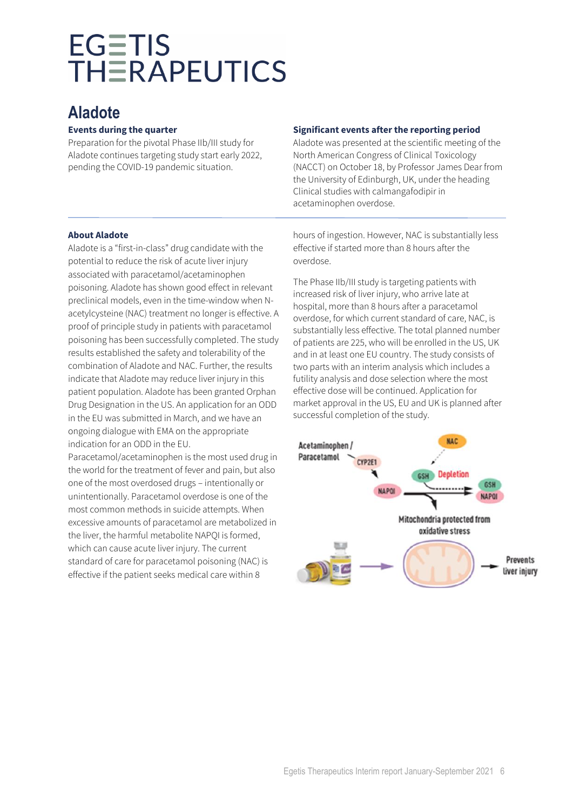### **Aladote**

### **Events during the quarter**

Preparation for the pivotal Phase IIb/III study for Aladote continues targeting study start early 2022, pending the COVID-19 pandemic situation.

### **Significant events after the reporting period**

Aladote was presented at the scientific meeting of the North American Congress of Clinical Toxicology (NACCT) on October 18, by Professor James Dear from the University of Edinburgh, UK, under the heading Clinical studies with calmangafodipir in acetaminophen overdose.

### **About Aladote**

Aladote is a "first-in-class" drug candidate with the potential to reduce the risk of acute liver injury associated with paracetamol/acetaminophen poisoning. Aladote has shown good effect in relevant preclinical models, even in the time-window when Nacetylcysteine (NAC) treatment no longer is effective. A proof of principle study in patients with paracetamol poisoning has been successfully completed. The study results established the safety and tolerability of the combination of Aladote and NAC. Further, the results indicate that Aladote may reduce liver injury in this patient population. Aladote has been granted Orphan Drug Designation in the US. An application for an ODD in the EU was submitted in March, and we have an ongoing dialogue with EMA on the appropriate indication for an ODD in the EU.

Paracetamol/acetaminophen is the most used drug in the world for the treatment of fever and pain, but also one of the most overdosed drugs – intentionally or unintentionally. Paracetamol overdose is one of the most common methods in suicide attempts. When excessive amounts of paracetamol are metabolized in the liver, the harmful metabolite NAPQI is formed, which can cause acute liver injury. The current standard of care for paracetamol poisoning (NAC) is effective if the patient seeks medical care within 8

hours of ingestion. However, NAC is substantially less effective if started more than 8 hours after the overdose.

The Phase IIb/III study is targeting patients with increased risk of liver injury, who arrive late at hospital, more than 8 hours after a paracetamol overdose, for which current standard of care, NAC, is substantially less effective. The total planned number of patients are 225, who will be enrolled in the US, UK and in at least one EU country. The study consists of two parts with an interim analysis which includes a futility analysis and dose selection where the most effective dose will be continued. Application for market approval in the US, EU and UK is planned after successful completion of the study.

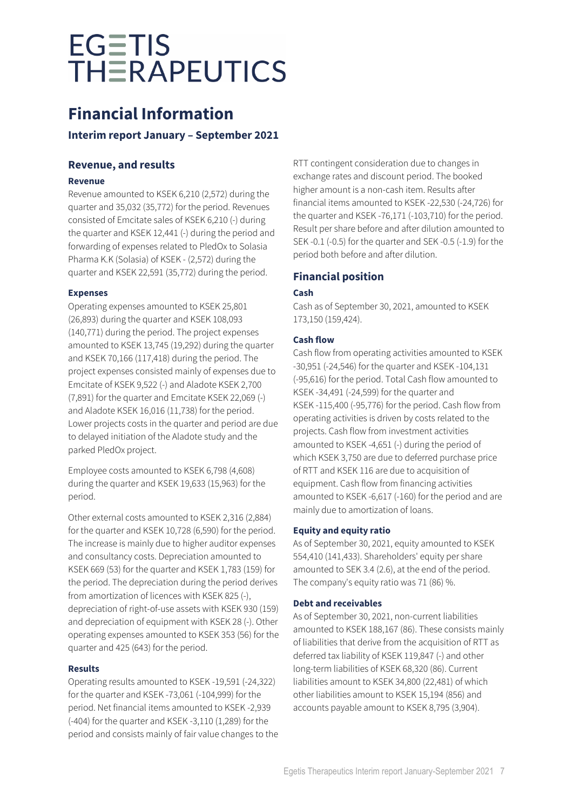### **Financial Information**

### **Interim report January – September 2021**

### **Revenue, and results**

### **Revenue**

Revenue amounted to KSEK 6,210 (2,572) during the quarter and 35,032 (35,772) for the period. Revenues consisted of Emcitate sales of KSEK 6,210 (-) during the quarter and KSEK 12,441 (-) during the period and forwarding of expenses related to PledOx to Solasia Pharma K.K (Solasia) of KSEK - (2,572) during the quarter and KSEK 22,591 (35,772) during the period.

### **Expenses**

Operating expenses amounted to KSEK 25,801 (26,893) during the quarter and KSEK 108,093 (140,771) during the period. The project expenses amounted to KSEK 13,745 (19,292) during the quarter and KSEK 70,166 (117,418) during the period. The project expenses consisted mainly of expenses due to Emcitate of KSEK 9,522 (-) and Aladote KSEK 2,700 (7,891) for the quarter and Emcitate KSEK 22,069 (-) and Aladote KSEK 16,016 (11,738) for the period. Lower projects costs in the quarter and period are due to delayed initiation of the Aladote study and the parked PledOx project.

Employee costs amounted to KSEK 6,798 (4,608) during the quarter and KSEK 19,633 (15,963) for the period.

Other external costs amounted to KSEK 2,316 (2,884) for the quarter and KSEK 10,728 (6,590) for the period. The increase is mainly due to higher auditor expenses and consultancy costs. Depreciation amounted to KSEK 669 (53) for the quarter and KSEK 1,783 (159) for the period. The depreciation during the period derives from amortization of licences with KSEK 825 (-), depreciation of right-of-use assets with KSEK 930 (159) and depreciation of equipment with KSEK 28 (-). Other operating expenses amounted to KSEK 353 (56) for the quarter and 425 (643) for the period.

### **Results**

Operating results amounted to KSEK -19,591 (-24,322) for the quarter and KSEK -73,061 (-104,999) for the period. Net financial items amounted to KSEK -2,939 (-404) for the quarter and KSEK -3,110 (1,289) for the period and consists mainly of fair value changes to the

RTT contingent consideration due to changes in exchange rates and discount period. The booked higher amount is a non-cash item. Results after financial items amounted to KSEK -22,530 (-24,726) for the quarter and KSEK -76,171 (-103,710) for the period. Result per share before and after dilution amounted to SEK -0.1 (-0.5) for the quarter and SEK -0.5 (-1.9) for the period both before and after dilution.

### **Financial position**

### **Cash**

Cash as of September 30, 2021, amounted to KSEK 173,150 (159,424).

### **Cash flow**

Cash flow from operating activities amounted to KSEK -30,951 (-24,546) for the quarter and KSEK -104,131 (-95,616) for the period. Total Cash flow amounted to KSEK -34,491 (-24,599) for the quarter and KSEK -115,400 (-95,776) for the period. Cash flow from operating activities is driven by costs related to the projects. Cash flow from investment activities amounted to KSEK -4,651 (-) during the period of which KSEK 3,750 are due to deferred purchase price of RTT and KSEK 116 are due to acquisition of equipment. Cash flow from financing activities amounted to KSEK -6,617 (-160) for the period and are mainly due to amortization of loans.

### **Equity and equity ratio**

As of September 30, 2021, equity amounted to KSEK 554,410 (141,433). Shareholders' equity per share amounted to SEK 3.4 (2.6), at the end of the period. The company's equity ratio was 71 (86) %.

### **Debt and receivables**

As of September 30, 2021, non-current liabilities amounted to KSEK 188,167 (86). These consists mainly of liabilities that derive from the acquisition of RTT as deferred tax liability of KSEK 119,847 (-) and other long-term liabilities of KSEK 68,320 (86). Current liabilities amount to KSEK 34,800 (22,481) of which other liabilities amount to KSEK 15,194 (856) and accounts payable amount to KSEK 8,795 (3,904).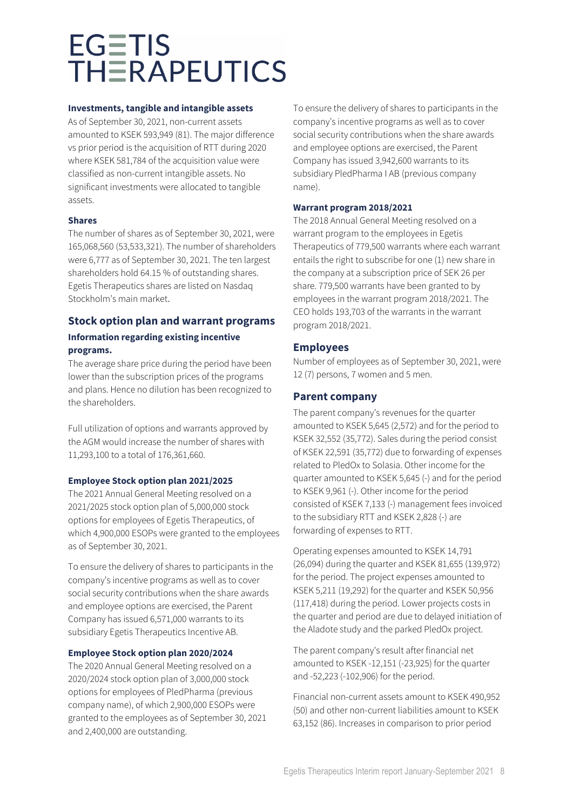#### **Investments, tangible and intangible assets**

As of September 30, 2021, non-current assets amounted to KSEK 593,949 (81). The major difference vs prior period is the acquisition of RTT during 2020 where KSEK 581,784 of the acquisition value were classified as non-current intangible assets. No significant investments were allocated to tangible assets.

### **Shares**

The number of shares as of September 30, 2021, were 165,068,560 (53,533,321). The number of shareholders were 6,777 as of September 30, 2021. The ten largest shareholders hold 64.15 % of outstanding shares. Egetis Therapeutics shares are listed on Nasdaq Stockholm's main market.

### **Stock option plan and warrant programs Information regarding existing incentive programs.**

The average share price during the period have been lower than the subscription prices of the programs and plans. Hence no dilution has been recognized to the shareholders.

Full utilization of options and warrants approved by the AGM would increase the number of shares with 11,293,100 to a total of 176,361,660.

### **Employee Stock option plan 2021/2025**

The 2021 Annual General Meeting resolved on a 2021/2025 stock option plan of 5,000,000 stock options for employees of Egetis Therapeutics, of which 4,900,000 ESOPs were granted to the employees as of September 30, 2021.

To ensure the delivery of shares to participants in the company's incentive programs as well as to cover social security contributions when the share awards and employee options are exercised, the Parent Company has issued 6,571,000 warrants to its subsidiary Egetis Therapeutics Incentive AB.

### **Employee Stock option plan 2020/2024**

The 2020 Annual General Meeting resolved on a 2020/2024 stock option plan of 3,000,000 stock options for employees of PledPharma (previous company name), of which 2,900,000 ESOPs were granted to the employees as of September 30, 2021 and 2,400,000 are outstanding.

To ensure the delivery of shares to participants in the company's incentive programs as well as to cover social security contributions when the share awards and employee options are exercised, the Parent Company has issued 3,942,600 warrants to its subsidiary PledPharma I AB (previous company name).

### **Warrant program 2018/2021**

The 2018 Annual General Meeting resolved on a warrant program to the employees in Egetis Therapeutics of 779,500 warrants where each warrant entails the right to subscribe for one (1) new share in the company at a subscription price of SEK 26 per share. 779,500 warrants have been granted to by employees in the warrant program 2018/2021. The CEO holds 193,703 of the warrants in the warrant program 2018/2021.

### **Employees**

Number of employees as of September 30, 2021, were 12 (7) persons, 7 women and 5 men.

### **Parent company**

The parent company's revenues for the quarter amounted to KSEK 5,645 (2,572) and for the period to KSEK 32,552 (35,772). Sales during the period consist of KSEK 22,591 (35,772) due to forwarding of expenses related to PledOx to Solasia. Other income for the quarter amounted to KSEK 5,645 (-) and for the period to KSEK 9,961 (-). Other income for the period consisted of KSEK 7,133 (-) management fees invoiced to the subsidiary RTT and KSEK 2,828 (-) are forwarding of expenses to RTT.

Operating expenses amounted to KSEK 14,791 (26,094) during the quarter and KSEK 81,655 (139,972) for the period. The project expenses amounted to KSEK 5,211 (19,292) for the quarter and KSEK 50,956 (117,418) during the period. Lower projects costs in the quarter and period are due to delayed initiation of the Aladote study and the parked PledOx project.

The parent company's result after financial net amounted to KSEK -12,151 (-23,925) for the quarter and -52,223 (-102,906) for the period.

Financial non-current assets amount to KSEK 490,952 (50) and other non-current liabilities amount to KSEK 63,152 (86). Increases in comparison to prior period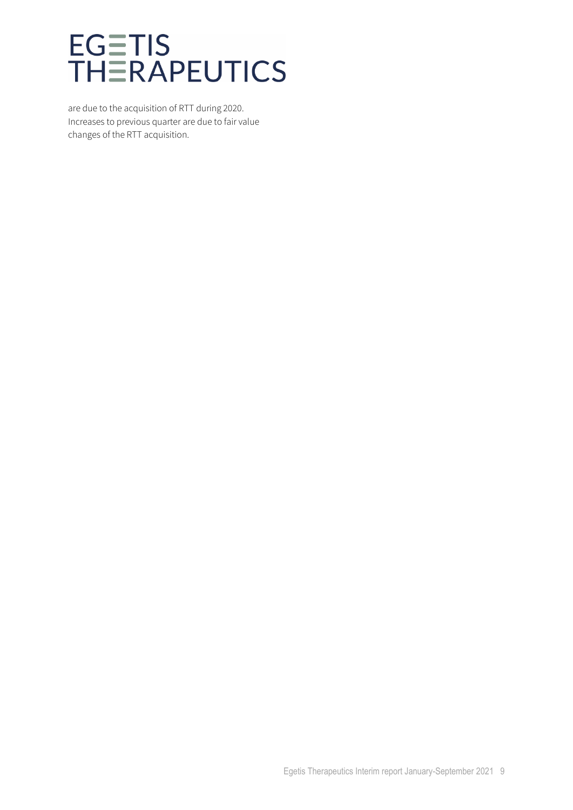are due to the acquisition of RTT during 2020. Increases to previous quarter are due to fair value changes of the RTT acquisition.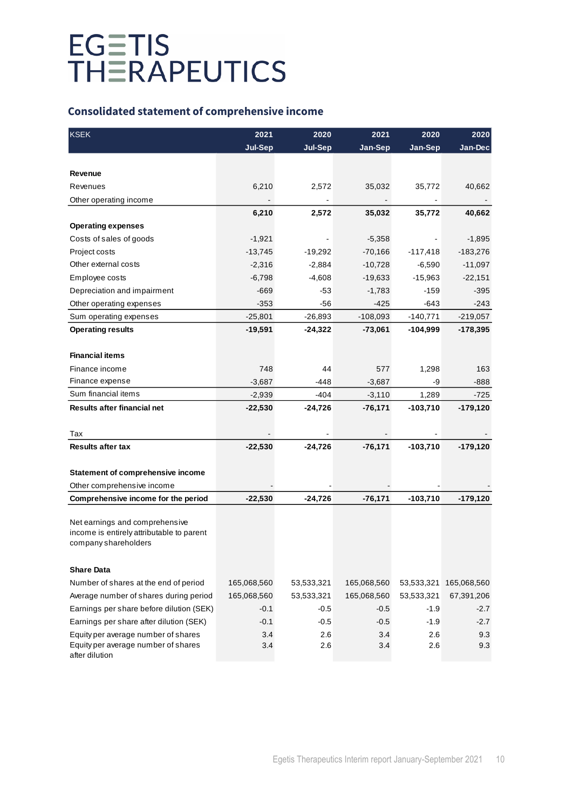### **Consolidated statement of comprehensive income**

| <b>KSEK</b>                               | 2021           | 2020           | 2021        | 2020       | 2020        |
|-------------------------------------------|----------------|----------------|-------------|------------|-------------|
|                                           | <b>Jul-Sep</b> | <b>Jul-Sep</b> | Jan-Sep     | Jan-Sep    | Jan-Dec     |
|                                           |                |                |             |            |             |
| Revenue                                   |                |                |             |            |             |
| Revenues                                  | 6,210          | 2,572          | 35,032      | 35,772     | 40,662      |
| Other operating income                    |                |                |             |            |             |
|                                           | 6,210          | 2,572          | 35,032      | 35,772     | 40,662      |
| <b>Operating expenses</b>                 |                |                |             |            |             |
| Costs of sales of goods                   | $-1,921$       |                | $-5,358$    |            | $-1,895$    |
| Project costs                             | $-13,745$      | $-19,292$      | $-70,166$   | $-117,418$ | $-183,276$  |
| Other external costs                      | $-2,316$       | $-2,884$       | $-10,728$   | $-6,590$   | $-11,097$   |
| Employee costs                            | $-6,798$       | $-4,608$       | $-19,633$   | $-15,963$  | $-22,151$   |
| Depreciation and impairment               | $-669$         | $-53$          | $-1,783$    | $-159$     | $-395$      |
| Other operating expenses                  | $-353$         | -56            | $-425$      | -643       | $-243$      |
| Sum operating expenses                    | $-25,801$      | $-26,893$      | $-108,093$  | $-140,771$ | $-219,057$  |
| <b>Operating results</b>                  | $-19,591$      | $-24,322$      | $-73,061$   | -104,999   | $-178,395$  |
|                                           |                |                |             |            |             |
| <b>Financial items</b>                    |                |                |             |            |             |
| Finance income                            | 748            | 44             | 577         | 1,298      | 163         |
| Finance expense                           | $-3,687$       | $-448$         | $-3,687$    | -9         | $-888$      |
| Sum financial items                       | $-2,939$       | $-404$         | $-3,110$    | 1,289      | -725        |
| Results after financial net               | $-22,530$      | -24,726        | $-76,171$   | $-103,710$ | -179,120    |
|                                           |                |                |             |            |             |
| Tax                                       |                |                |             |            |             |
| <b>Results after tax</b>                  | $-22,530$      | $-24,726$      | $-76,171$   | $-103,710$ | $-179, 120$ |
|                                           |                |                |             |            |             |
| Statement of comprehensive income         |                |                |             |            |             |
| Other comprehensive income                |                |                |             |            |             |
| Comprehensive income for the period       | $-22,530$      | $-24,726$      | $-76,171$   | $-103,710$ | $-179, 120$ |
|                                           |                |                |             |            |             |
| Net earnings and comprehensive            |                |                |             |            |             |
| income is entirely attributable to parent |                |                |             |            |             |
| company shareholders                      |                |                |             |            |             |
|                                           |                |                |             |            |             |
| <b>Share Data</b>                         |                |                |             |            |             |
| Number of shares at the end of period     | 165,068,560    | 53,533,321     | 165,068,560 | 53,533,321 | 165,068,560 |
| Average number of shares during period    | 165,068,560    | 53,533,321     | 165,068,560 | 53,533,321 | 67,391,206  |
| Earnings per share before dilution (SEK)  | $-0.1$         | $-0.5$         | $-0.5$      | $-1.9$     | $-2.7$      |
| Earnings per share after dilution (SEK)   | $-0.1$         | $-0.5$         | $-0.5$      | $-1.9$     | $-2.7$      |
| Equity per average number of shares       | 3.4            | 2.6            | 3.4         | 2.6        | 9.3         |
| Equity per average number of shares       | 3.4            | 2.6            | 3.4         | 2.6        | 9.3         |
| after dilution                            |                |                |             |            |             |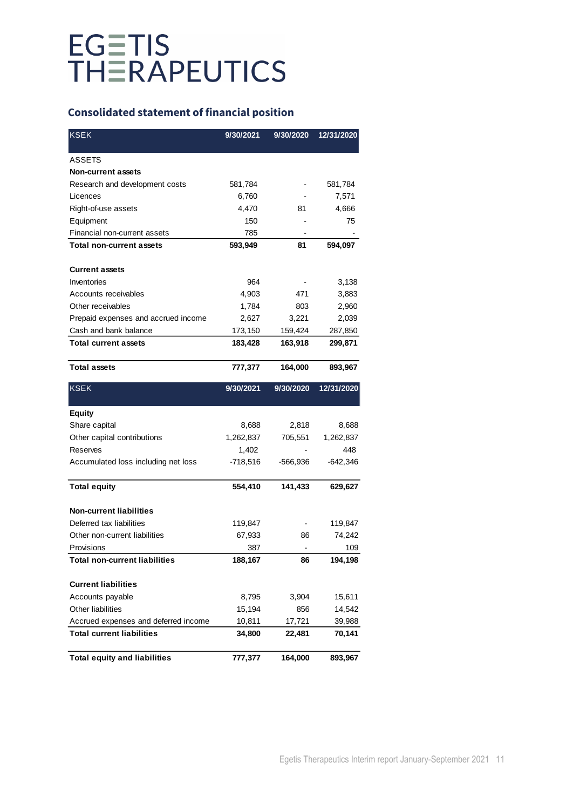### **Consolidated statement of financial position**

| <b>KSEK</b>                          | 9/30/2021  | 9/30/2020      | 12/31/2020 |
|--------------------------------------|------------|----------------|------------|
| <b>ASSETS</b>                        |            |                |            |
| <b>Non-current assets</b>            |            |                |            |
| Research and development costs       | 581,784    |                | 581,784    |
| Licences                             | 6,760      |                | 7,571      |
| Right-of-use assets                  | 4,470      | 81             | 4,666      |
| Equipment                            | 150        |                | 75         |
| Financial non-current assets         | 785        |                |            |
| <b>Total non-current assets</b>      | 593,949    | 81             | 594,097    |
| <b>Current assets</b>                |            |                |            |
| Inventories                          | 964        |                | 3,138      |
| Accounts receivables                 | 4,903      | 471            | 3,883      |
| Other receivables                    | 1,784      | 803            | 2,960      |
| Prepaid expenses and accrued income  | 2,627      | 3,221          | 2,039      |
| Cash and bank balance                | 173,150    | 159,424        | 287,850    |
| <b>Total current assets</b>          | 183,428    | 163,918        | 299,871    |
| <b>Total assets</b>                  | 777,377    | 164,000        | 893,967    |
| <b>KSEK</b>                          | 9/30/2021  | 9/30/2020      | 12/31/2020 |
| <b>Equity</b>                        |            |                |            |
| Share capital                        | 8,688      | 2,818          | 8,688      |
| Other capital contributions          | 1,262,837  | 705,551        | 1,262,837  |
| Reserves                             | 1,402      |                | 448        |
| Accumulated loss including net loss  | $-718,516$ | -566,936       | $-642,346$ |
|                                      |            |                |            |
| <b>Total equity</b>                  | 554,410    | 141,433        | 629,627    |
| <b>Non-current liabilities</b>       |            |                |            |
| Deferred tax liabilities             | 119,847    |                | 119,847    |
| Other non-current liabilities        | 67,933     | 86             | 74,242     |
| Provisions                           | 387        | $\overline{a}$ | 109        |
| <b>Total non-current liabilities</b> | 188,167    | 86             | 194,198    |
| <b>Current liabilities</b>           |            |                |            |
| Accounts payable                     | 8,795      | 3,904          | 15,611     |
| Other liabilities                    | 15,194     | 856            | 14,542     |
| Accrued expenses and deferred income | 10,811     | 17,721         | 39,988     |
| <b>Total current liabilities</b>     | 34,800     | 22,481         | 70,141     |
| <b>Total equity and liabilities</b>  | 777,377    | 164,000        | 893,967    |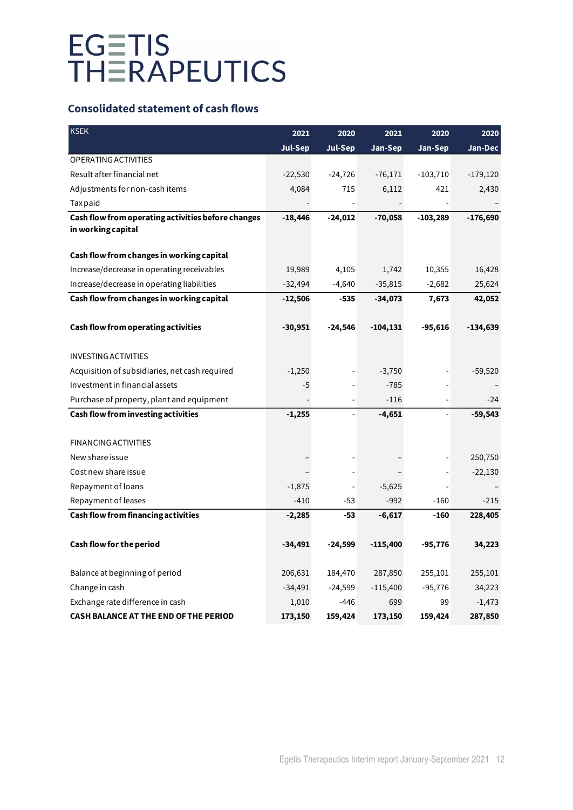### **Consolidated statement of cash flows**

| <b>KSEK</b>                                        | 2021           | 2020           | 2021        | 2020       | 2020       |
|----------------------------------------------------|----------------|----------------|-------------|------------|------------|
|                                                    | <b>Jul-Sep</b> | <b>Jul-Sep</b> | Jan-Sep     | Jan-Sep    | Jan-Dec    |
| <b>OPERATING ACTIVITIES</b>                        |                |                |             |            |            |
| Result after financial net                         | $-22,530$      | $-24,726$      | $-76,171$   | $-103,710$ | $-179,120$ |
| Adjustments for non-cash items                     | 4,084          | 715            | 6,112       | 421        | 2,430      |
| Tax paid                                           |                |                |             |            |            |
| Cash flow from operating activities before changes | $-18,446$      | $-24,012$      | $-70,058$   | $-103,289$ | $-176,690$ |
| in working capital                                 |                |                |             |            |            |
| Cash flow from changes in working capital          |                |                |             |            |            |
| Increase/decrease in operating receivables         | 19,989         | 4,105          | 1,742       | 10,355     | 16,428     |
| Increase/decrease in operating liabilities         | $-32,494$      | $-4,640$       | $-35,815$   | $-2,682$   | 25,624     |
| Cash flow from changes in working capital          | $-12,506$      | $-535$         | $-34,073$   | 7,673      | 42,052     |
|                                                    |                |                |             |            |            |
| Cash flow from operating activities                | $-30,951$      | $-24,546$      | $-104, 131$ | $-95,616$  | $-134,639$ |
|                                                    |                |                |             |            |            |
| <b>INVESTING ACTIVITIES</b>                        |                |                |             |            |            |
| Acquisition of subsidiaries, net cash required     | $-1,250$       |                | $-3,750$    |            | $-59,520$  |
| Investment in financial assets                     | $-5$           |                | $-785$      |            |            |
| Purchase of property, plant and equipment          |                |                | $-116$      |            | $-24$      |
| Cash flow from investing activities                | $-1,255$       |                | $-4,651$    |            | $-59,543$  |
|                                                    |                |                |             |            |            |
| <b>FINANCING ACTIVITIES</b>                        |                |                |             |            |            |
| New share issue                                    |                |                |             |            | 250,750    |
| Cost new share issue                               |                |                |             |            | $-22,130$  |
| Repayment of loans                                 | $-1,875$       |                | $-5,625$    |            |            |
| Repayment of leases                                | $-410$         | -53            | $-992$      | $-160$     | $-215$     |
| Cash flow from financing activities                | $-2,285$       | -53            | $-6,617$    | $-160$     | 228,405    |
|                                                    |                |                |             |            |            |
| Cash flow for the period                           | $-34,491$      | $-24,599$      | $-115,400$  | $-95,776$  | 34,223     |
|                                                    |                |                |             |            |            |
| Balance at beginning of period                     | 206,631        | 184,470        | 287,850     | 255,101    | 255,101    |
| Change in cash                                     | $-34,491$      | $-24,599$      | $-115,400$  | $-95,776$  | 34,223     |
| Exchange rate difference in cash                   | 1,010          | $-446$         | 699         | 99         | $-1,473$   |
| <b>CASH BALANCE AT THE END OF THE PERIOD</b>       | 173,150        | 159,424        | 173,150     | 159,424    | 287,850    |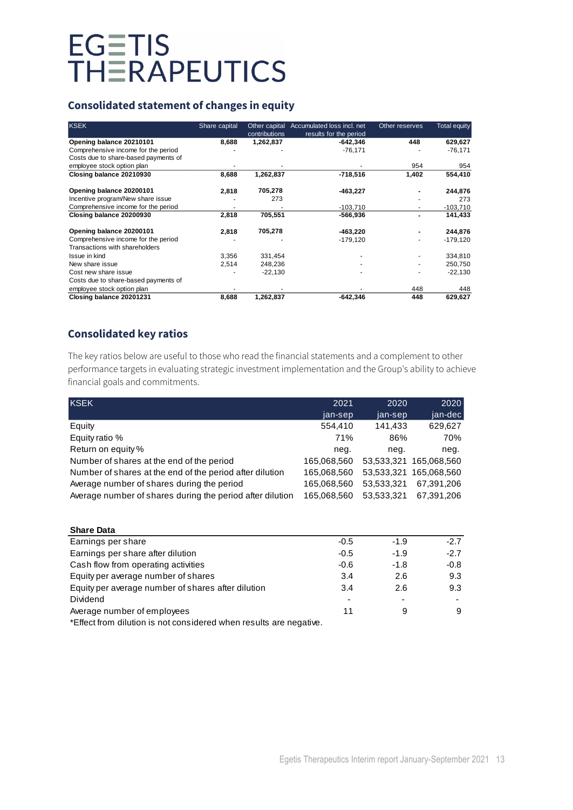### **Consolidated statement of changes in equity**

| <b>KSEK</b>                                                                 | Share capital | Other capital | Accumulated loss incl. net | Other reserves | <b>Total equity</b> |
|-----------------------------------------------------------------------------|---------------|---------------|----------------------------|----------------|---------------------|
|                                                                             |               | contributions | results for the period     |                |                     |
| Opening balance 20210101                                                    | 8,688         | 1,262,837     | $-642,346$                 | 448            | 629,627             |
| Comprehensive income for the period<br>Costs due to share-based payments of |               |               | $-76,171$                  |                | $-76,171$           |
| employee stock option plan                                                  |               |               |                            | 954            | 954                 |
| Closing balance 20210930                                                    | 8,688         | 1,262,837     | $-718,516$                 | 1,402          | 554,410             |
| Opening balance 20200101                                                    | 2,818         | 705,278       | $-463,227$                 |                | 244,876             |
| Incentive program/New share issue                                           |               | 273           |                            |                | 273                 |
| Comprehensive income for the period                                         |               |               | $-103,710$                 |                | $-103,710$          |
| Closing balance 20200930                                                    | 2,818         | 705,551       | -566,936                   |                | 141,433             |
| Opening balance 20200101                                                    | 2,818         | 705,278       | -463,220                   |                | 244,876             |
| Comprehensive income for the period                                         |               |               | -179,120                   |                | $-179,120$          |
| Transactions with shareholders                                              |               |               |                            |                |                     |
| Issue in kind                                                               | 3,356         | 331,454       |                            |                | 334,810             |
| New share issue                                                             | 2,514         | 248,236       |                            |                | 250,750             |
| Cost new share issue                                                        |               | $-22,130$     |                            |                | $-22,130$           |
| Costs due to share-based payments of                                        |               |               |                            |                |                     |
| employee stock option plan                                                  |               |               |                            | 448            | 448                 |
| Closing balance 20201231                                                    | 8,688         | 1,262,837     | $-642,346$                 | 448            | 629,627             |

### **Consolidated key ratios**

The key ratios below are useful to those who read the financial statements and a complement to other performance targets in evaluating strategic investment implementation and the Group's ability to achieve financial goals and commitments.

| <b>KSEK</b>                                               | 2021        | 2020       | 2020                   |
|-----------------------------------------------------------|-------------|------------|------------------------|
|                                                           | jan-sep     | jan-sep    | jan-dec                |
| Equity                                                    | 554,410     | 141,433    | 629,627                |
| Equity ratio %                                            | 71%         | 86%        | 70%                    |
| Return on equity %                                        | neg.        | neg.       | neg.                   |
| Number of shares at the end of the period                 | 165,068,560 |            | 53,533,321 165,068,560 |
| Number of shares at the end of the period after dilution  | 165,068,560 | 53,533,321 | 165.068.560            |
| Average number of shares during the period                | 165,068,560 | 53,533,321 | 67,391,206             |
| Average number of shares during the period after dilution | 165,068,560 | 53,533,321 | 67,391,206             |

| <b>Share Data</b>                                                  |        |        |        |
|--------------------------------------------------------------------|--------|--------|--------|
| Earnings per share                                                 | $-0.5$ | $-1.9$ | $-2.7$ |
| Earnings per share after dilution                                  | $-0.5$ | $-1.9$ | $-2.7$ |
| Cash flow from operating activities                                | $-0.6$ | $-1.8$ | $-0.8$ |
| Equity per average number of shares                                | 3.4    | 2.6    | 9.3    |
| Equity per average number of shares after dilution                 | 3.4    | 2.6    | 9.3    |
| Dividend                                                           |        |        |        |
| Average number of employees                                        | 11     | 9      | 9      |
| *Effect from dilution is not considered when results are negative. |        |        |        |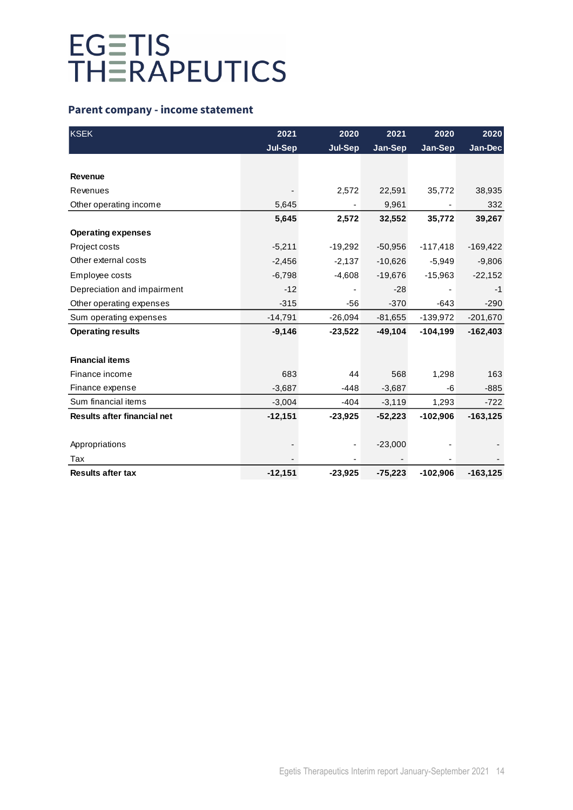### **Parent company - income statement**

| <b>KSEK</b>                        | 2021           | 2020           | 2021      | 2020       | 2020        |
|------------------------------------|----------------|----------------|-----------|------------|-------------|
|                                    | <b>Jul-Sep</b> | <b>Jul-Sep</b> | Jan-Sep   | Jan-Sep    | Jan-Dec     |
|                                    |                |                |           |            |             |
| <b>Revenue</b>                     |                |                |           |            |             |
| Revenues                           |                | 2,572          | 22,591    | 35,772     | 38,935      |
| Other operating income             | 5,645          |                | 9,961     |            | 332         |
|                                    | 5,645          | 2,572          | 32,552    | 35,772     | 39,267      |
| <b>Operating expenses</b>          |                |                |           |            |             |
| Project costs                      | $-5,211$       | $-19,292$      | $-50,956$ | $-117,418$ | $-169,422$  |
| Other external costs               | $-2,456$       | $-2,137$       | $-10,626$ | $-5,949$   | $-9,806$    |
| Employee costs                     | $-6,798$       | $-4,608$       | $-19,676$ | $-15,963$  | $-22,152$   |
| Depreciation and impairment        | $-12$          |                | $-28$     |            | $-1$        |
| Other operating expenses           | $-315$         | $-56$          | $-370$    | $-643$     | $-290$      |
| Sum operating expenses             | $-14,791$      | $-26,094$      | $-81,655$ | $-139,972$ | $-201,670$  |
| <b>Operating results</b>           | $-9,146$       | $-23,522$      | $-49,104$ | $-104,199$ | $-162,403$  |
|                                    |                |                |           |            |             |
| <b>Financial items</b>             |                |                |           |            |             |
| Finance income                     | 683            | 44             | 568       | 1,298      | 163         |
| Finance expense                    | $-3,687$       | $-448$         | $-3,687$  | -6         | $-885$      |
| Sum financial items                | $-3,004$       | $-404$         | $-3,119$  | 1,293      | $-722$      |
| <b>Results after financial net</b> | $-12,151$      | $-23,925$      | $-52,223$ | $-102,906$ | $-163, 125$ |
|                                    |                |                |           |            |             |
| Appropriations                     |                |                | $-23,000$ |            |             |
| Tax                                |                |                |           |            |             |
| <b>Results after tax</b>           | $-12,151$      | $-23,925$      | $-75,223$ | $-102,906$ | $-163, 125$ |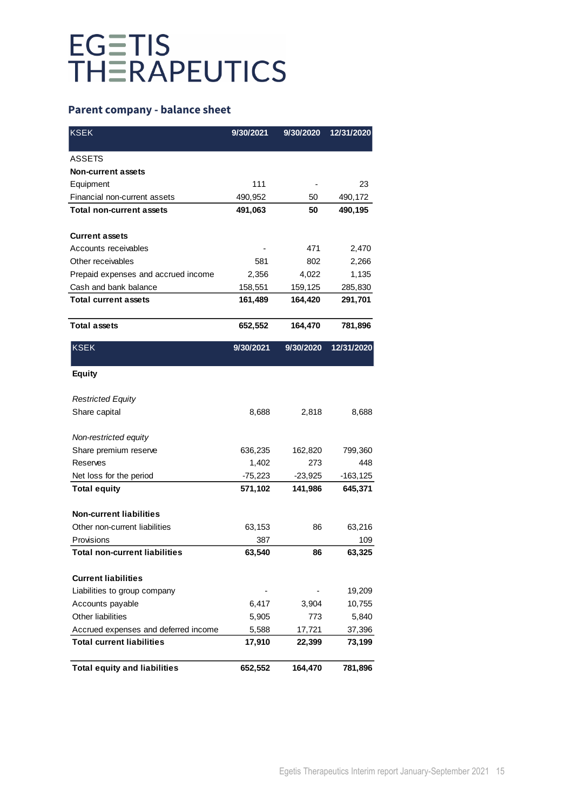### **Parent company - balance sheet**

| <b>KSEK</b>                          | 9/30/2021 | 9/30/2020 | 12/31/2020  |
|--------------------------------------|-----------|-----------|-------------|
| <b>ASSETS</b>                        |           |           |             |
| <b>Non-current assets</b>            |           |           |             |
| Equipment                            | 111       |           | 23          |
| Financial non-current assets         | 490,952   | 50        | 490,172     |
| <b>Total non-current assets</b>      | 491,063   | 50        | 490,195     |
| <b>Current assets</b>                |           |           |             |
| Accounts receivables                 |           | 471       | 2,470       |
| Other receivables                    | 581       | 802       | 2,266       |
| Prepaid expenses and accrued income  | 2,356     | 4,022     | 1,135       |
| Cash and bank balance                | 158,551   | 159,125   | 285,830     |
| <b>Total current assets</b>          | 161,489   | 164,420   | 291,701     |
| <b>Total assets</b>                  | 652,552   | 164,470   | 781,896     |
| <b>KSEK</b>                          | 9/30/2021 | 9/30/2020 | 12/31/2020  |
| <b>Equity</b>                        |           |           |             |
| <b>Restricted Equity</b>             |           |           |             |
| Share capital                        | 8,688     | 2,818     | 8,688       |
| Non-restricted equity                |           |           |             |
| Share premium reserve                | 636,235   | 162,820   | 799,360     |
| Reserves                             | 1,402     | 273       | 448         |
| Net loss for the period              | $-75,223$ | $-23,925$ | $-163, 125$ |
| <b>Total equity</b>                  | 571,102   | 141,986   | 645,371     |
| <b>Non-current liabilities</b>       |           |           |             |
| Other non-current liabilities        | 63,153    | 86        | 63,216      |
| Provisions                           | 387       |           | 109         |
| Total non-current liabilities        | 63,540    | 86        | 63,325      |
| <b>Current liabilities</b>           |           |           |             |
| Liabilities to group company         |           |           | 19,209      |
| Accounts payable                     | 6,417     | 3,904     | 10,755      |
| Other liabilities                    | 5,905     | 773       | 5,840       |
| Accrued expenses and deferred income | 5,588     | 17,721    | 37,396      |
| <b>Total current liabilities</b>     | 17,910    | 22,399    | 73,199      |
| <b>Total equity and liabilities</b>  | 652,552   | 164,470   | 781,896     |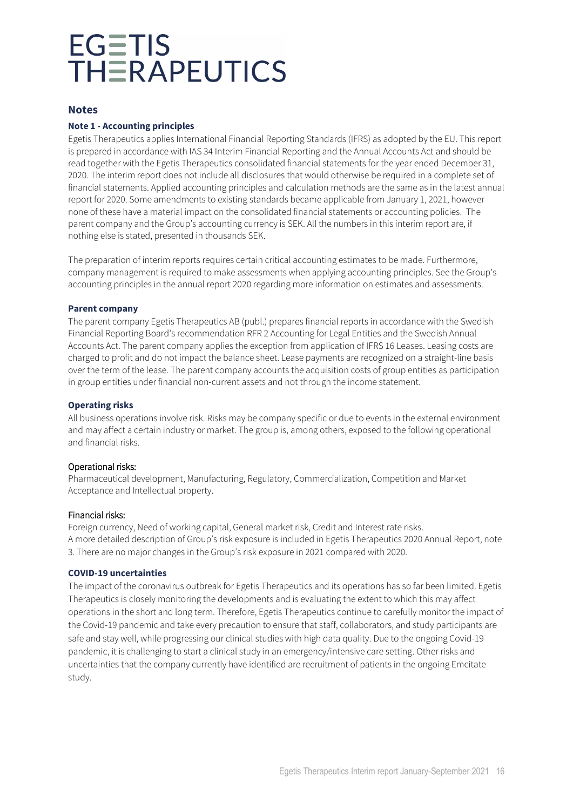### **Notes**

### **Note 1 - Accounting principles**

Egetis Therapeutics applies International Financial Reporting Standards (IFRS) as adopted by the EU. This report is prepared in accordance with IAS 34 Interim Financial Reporting and the Annual Accounts Act and should be read together with the Egetis Therapeutics consolidated financial statements for the year ended December 31, 2020. The interim report does not include all disclosures that would otherwise be required in a complete set of financial statements. Applied accounting principles and calculation methods are the same as in the latest annual report for 2020. Some amendments to existing standards became applicable from January 1, 2021, however none of these have a material impact on the consolidated financial statements or accounting policies. The parent company and the Group's accounting currency is SEK. All the numbers in this interim report are, if nothing else is stated, presented in thousands SEK.

The preparation of interim reports requires certain critical accounting estimates to be made. Furthermore, company management is required to make assessments when applying accounting principles. See the Group's accounting principles in the annual report 2020 regarding more information on estimates and assessments.

#### **Parent company**

The parent company Egetis Therapeutics AB (publ.) prepares financial reports in accordance with the Swedish Financial Reporting Board's recommendation RFR 2 Accounting for Legal Entities and the Swedish Annual Accounts Act. The parent company applies the exception from application of IFRS 16 Leases. Leasing costs are charged to profit and do not impact the balance sheet. Lease payments are recognized on a straight-line basis over the term of the lease. The parent company accounts the acquisition costs of group entities as participation in group entities under financial non-current assets and not through the income statement.

#### **Operating risks**

All business operations involve risk. Risks may be company specific or due to events in the external environment and may affect a certain industry or market. The group is, among others, exposed to the following operational and financial risks.

### Operational risks:

Pharmaceutical development, Manufacturing, Regulatory, Commercialization, Competition and Market Acceptance and Intellectual property.

### Financial risks:

Foreign currency, Need of working capital, General market risk, Credit and Interest rate risks. A more detailed description of Group's risk exposure is included in Egetis Therapeutics 2020 Annual Report, note 3. There are no major changes in the Group's risk exposure in 2021 compared with 2020.

#### **COVID-19 uncertainties**

The impact of the coronavirus outbreak for Egetis Therapeutics and its operations has so far been limited. Egetis Therapeutics is closely monitoring the developments and is evaluating the extent to which this may affect operations in the short and long term. Therefore, Egetis Therapeutics continue to carefully monitor the impact of the Covid-19 pandemic and take every precaution to ensure that staff, collaborators, and study participants are safe and stay well, while progressing our clinical studies with high data quality. Due to the ongoing Covid-19 pandemic, it is challenging to start a clinical study in an emergency/intensive care setting. Other risks and uncertainties that the company currently have identified are recruitment of patients in the ongoing Emcitate study.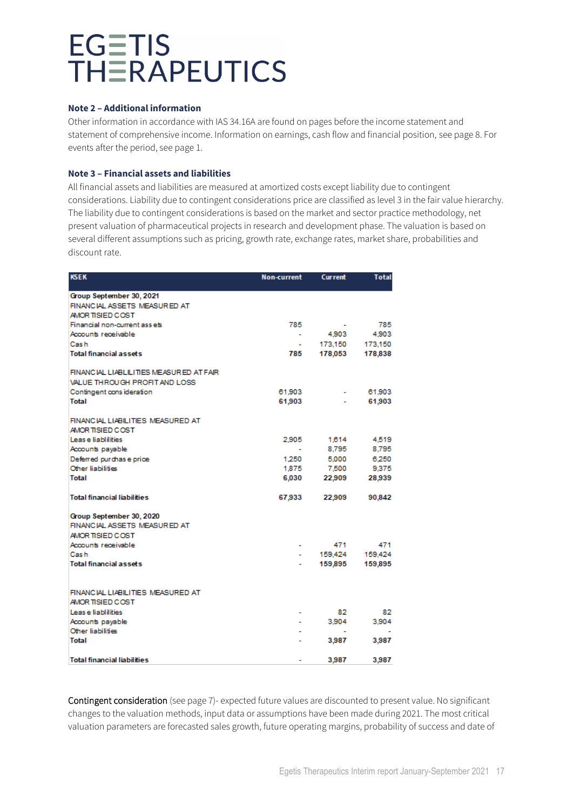#### **Note 2 – Additional information**

Other information in accordance with IAS 34.16A are found on pages before the income statement and statement of comprehensive income. Information on earnings, cash flow and financial position, see page 8. For events after the period, see page 1.

### **Note 3 – Financial assets and liabilities**

All financial assets and liabilities are measured at amortized costs except liability due to contingent considerations. Liability due to contingent considerations price are classified as level 3 in the fair value hierarchy. The liability due to contingent considerations is based on the market and sector practice methodology, net present valuation of pharmaceutical projects in research and development phase. The valuation is based on several different assumptions such as pricing, growth rate, exchange rates, market share, probabilities and discount rate.

| <b>KSEK</b>                                           | <b>Non-current</b> | <b>Current</b> | Total   |  |
|-------------------------------------------------------|--------------------|----------------|---------|--|
| Group September 30, 2021                              |                    |                |         |  |
| FINANCIAL ASSETS MEASURED AT                          |                    |                |         |  |
| AMOR TISIED COST                                      |                    |                |         |  |
| Financial non-current assets                          | 785                |                | 785     |  |
| Accounts receivable                                   | $\sim$             | 4,903          | 4,903   |  |
| Cash                                                  | $\blacksquare$     | 173,150        | 173,150 |  |
| <b>Total financial assets</b>                         | 785                | 178,053        | 178,838 |  |
| FINANCIAL LIABLILITIES MEASURED AT FAIR               |                    |                |         |  |
| VALUE THROUGH PROFIT AND LOSS                         |                    |                |         |  |
| Contingent cons ideration                             | 61,903             |                | 61,903  |  |
| <b>Total</b>                                          | 61,903             |                | 61,903  |  |
| FINANCIAL LIABILITIES MEASURED AT<br>AMOR TISIED COST |                    |                |         |  |
| Lease liabilities                                     | 2.905              | 1,614          | 4,519   |  |
| Accounts payable                                      |                    | 8,795          | 8,795   |  |
| Deferred purchase price                               | 1.250              | 5,000          | 6.250   |  |
| Other liabilities                                     | 1.875              | 7,500          | 9.375   |  |
| Total                                                 | 6,030              | 22,909         | 28,939  |  |
| <b>Total financial liabilities</b>                    | 67,933             | 22,909         | 90,842  |  |
| Group September 30, 2020                              |                    |                |         |  |
| FINANCIAL ASSETS MEASURED AT                          |                    |                |         |  |
| AMOR TISIED COST                                      |                    |                |         |  |
| Accounts receivable                                   |                    | 471            | 471     |  |
| Cash                                                  |                    | 159,424        | 159,424 |  |
| <b>Total financial assets</b>                         |                    | 159,895        | 159,895 |  |
|                                                       |                    |                |         |  |
| FINANCIAL LIABILITIES MEASURED AT<br>AMOR TISIED COST |                    |                |         |  |
| Leas e liablilities                                   | ٠                  | 82             | 82      |  |
| Accounts payable                                      |                    | 3,904          | 3.904   |  |
| Other liabilities                                     |                    | $\blacksquare$ |         |  |
| <b>Total</b>                                          |                    | 3,987          | 3,987   |  |
| <b>Total financial liabilities</b>                    |                    | 3,987          | 3,987   |  |

Contingent consideration (see page 7)- expected future values are discounted to present value. No significant changes to the valuation methods, input data or assumptions have been made during 2021. The most critical valuation parameters are forecasted sales growth, future operating margins, probability of success and date of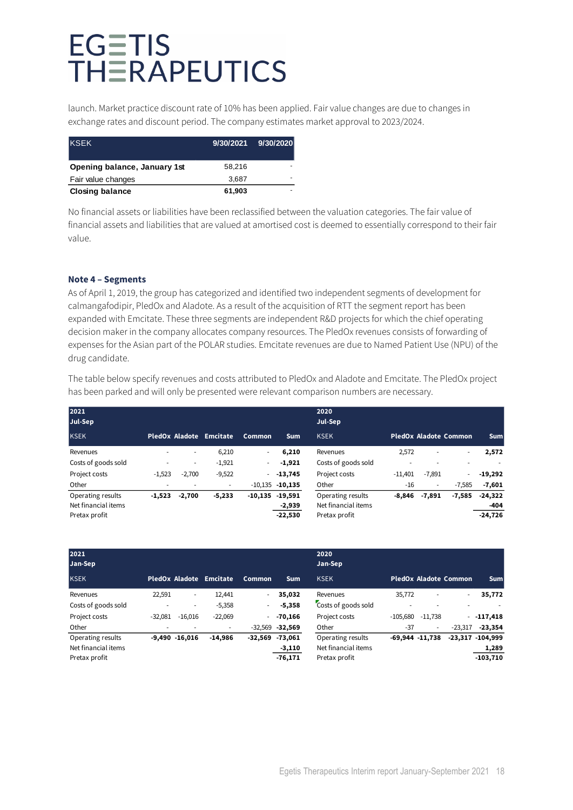launch. Market practice discount rate of 10% has been applied. Fair value changes are due to changes in exchange rates and discount period. The company estimates market approval to 2023/2024.

| <b>KSEK</b>                  |        | 9/30/2021 9/30/2020 |
|------------------------------|--------|---------------------|
| Opening balance, January 1st | 58.216 |                     |
| Fair value changes           | 3.687  |                     |
| <b>Closing balance</b>       | 61,903 |                     |

No financial assets or liabilities have been reclassified between the valuation categories. The fair value of financial assets and liabilities that are valued at amortised cost is deemed to essentially correspond to their fair value.

### **Note 4 – Segments**

As of April 1, 2019, the group has categorized and identified two independent segments of development for calmangafodipir, PledOx and Aladote. As a result of the acquisition of RTT the segment report has been expanded with Emcitate. These three segments are independent R&D projects for which the chief operating decision maker in the company allocates company resources. The PledOx revenues consists of forwarding of expenses for the Asian part of the POLAR studies. Emcitate revenues are due to Named Patient Use (NPU) of the drug candidate.

The table below specify revenues and costs attributed to PledOx and Aladote and Emcitate. The PledOx project has been parked and will only be presented were relevant comparison numbers are necessary.

| 2021<br>Jul-Sep                                           |          |          |                         | 2020<br>Jul-Sep |                                  |                                                           |           |          |                              |                                |
|-----------------------------------------------------------|----------|----------|-------------------------|-----------------|----------------------------------|-----------------------------------------------------------|-----------|----------|------------------------------|--------------------------------|
| <b>KSEK</b>                                               |          |          | PledOx Aladote Emcitate | Common          | <b>Sum</b>                       | <b>KSEK</b>                                               |           |          | <b>PledOx Aladote Common</b> | <b>Sum</b>                     |
| Revenues                                                  | ۰        | ٠        | 6,210                   | ٠               | 6,210                            | Revenues                                                  | 2,572     | ٠        | ٠                            | 2,572                          |
| Costs of goods sold                                       |          | ٠        | $-1,921$                | ٠               | $-1,921$                         | Costs of goods sold                                       | ۰         |          | ٠                            |                                |
| Project costs                                             | $-1,523$ | $-2,700$ | $-9,522$                | ۰.              | $-13,745$                        | Project costs                                             | $-11,401$ | $-7,891$ | ٠                            | $-19,292$                      |
| Other                                                     | ٠        |          | ٠                       |                 | $-10,135$ $-10,135$              | Other                                                     | $-16$     | ٠        | $-7.585$                     | $-7,601$                       |
| Operating results<br>Net financial items<br>Pretax profit | $-1,523$ | $-2,700$ | $-5,233$                | $-10,135$       | $-19,591$<br>-2,939<br>$-22,530$ | Operating results<br>Net financial items<br>Pretax profit | $-8.846$  | $-7,891$ | $-7,585$                     | $-24,322$<br>-404<br>$-24,726$ |

| 2021<br>Jan-Sep     |           |                  |           |           |                     | 2020<br>Jan-Sep     |            |                     |                              |                     |
|---------------------|-----------|------------------|-----------|-----------|---------------------|---------------------|------------|---------------------|------------------------------|---------------------|
| <b>KSEK</b>         |           | PledOx Aladote   | Emcitate  | Common    | <b>Sum</b>          | <b>KSEK</b>         |            |                     | <b>PledOx Aladote Common</b> | <b>Sum</b>          |
| Revenues            | 22,591    | ۰.               | 12,441    | ٠.        | 35,032              | Revenues            | 35,772     | ٠                   | $\sim$                       | 35,772              |
| Costs of goods sold |           |                  | $-5,358$  | ٠         | $-5,358$            | Costs of goods sold |            | ۰                   | ٠                            |                     |
| Project costs       | $-32.081$ | $-16.016$        | $-22,069$ | ٠         | $-70.166$           | Project costs       | $-105,680$ | $-11.738$           |                              | $-117,418$          |
| Other               | ٠         |                  | ۰         |           | $-32,569$ $-32,569$ | Other               | $-37$      | $\sim$              | $-23.317$                    | $-23,354$           |
| Operating results   |           | $-9,490 -16,016$ | $-14,986$ | $-32,569$ | $-73,061$           | Operating results   |            | $-69,944$ $-11,738$ |                              | $-23,317 - 104,999$ |
| Net financial items |           |                  |           |           | $-3,110$            | Net financial items |            |                     |                              | 1,289               |
| Pretax profit       |           |                  |           |           | $-76,171$           | Pretax profit       |            |                     |                              | $-103,710$          |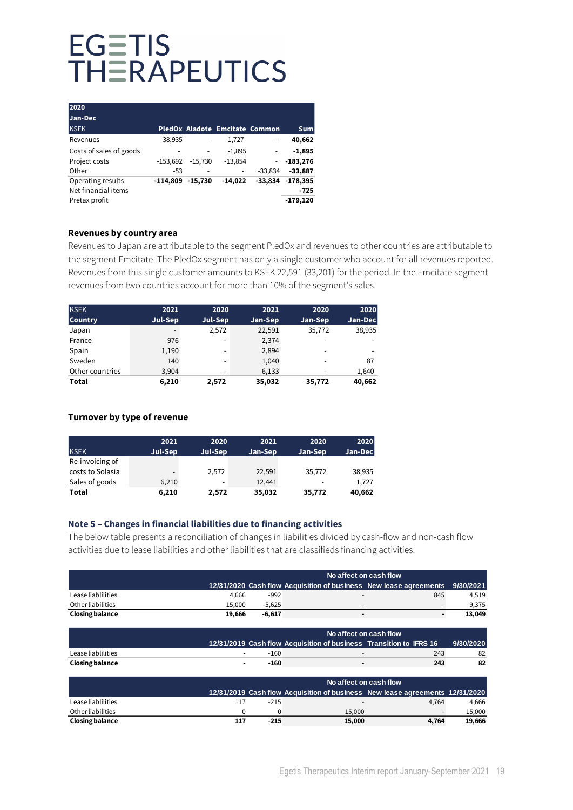| 2020                    |            |           |                                |           |            |
|-------------------------|------------|-----------|--------------------------------|-----------|------------|
| Jan-Dec                 |            |           |                                |           |            |
| <b>KSEK</b>             |            |           | PledOx Aladote Emcitate Common |           | <b>Sum</b> |
| Revenues                | 38,935     |           | 1,727                          | ٠         | 40,662     |
| Costs of sales of goods |            |           | $-1,895$                       |           | $-1,895$   |
| Project costs           | $-153,692$ | $-15.730$ | $-13,854$                      |           | $-183,276$ |
| Other                   | $-53$      | ٠         | ٠                              | $-33.834$ | $-33,887$  |
| Operating results       | $-114.809$ | $-15,730$ | $-14,022$                      | -33,834   | $-178,395$ |
| Net financial items     |            |           |                                |           | $-725$     |
| Pretax profit           |            |           |                                |           | $-179.120$ |

#### **Revenues by country area**

Revenues to Japan are attributable to the segment PledOx and revenues to other countries are attributable to the segment Emcitate. The PledOx segment has only a single customer who account for all revenues reported. Revenues from this single customer amounts to KSEK 22,591 (33,201) for the period. In the Emcitate segment revenues from two countries account for more than 10% of the segment's sales.

| <b>KSEK</b>     | 2021    | 2020                     | 2021    | 2020                     | 2020    |
|-----------------|---------|--------------------------|---------|--------------------------|---------|
| <b>Country</b>  | Jul-Sep | Jul-Sep                  | Jan-Sep | Jan-Sep                  | Jan-Dec |
| Japan           |         | 2,572                    | 22,591  | 35,772                   | 38,935  |
| France          | 976     | $\overline{\phantom{0}}$ | 2,374   | $\overline{\phantom{a}}$ |         |
| Spain           | 1,190   | -                        | 2,894   |                          |         |
| Sweden          | 140     | -                        | 1,040   | -                        | 87      |
| Other countries | 3,904   | -                        | 6,133   |                          | 1,640   |
| Total           | 6.210   | 2.572                    | 35,032  | 35,772                   | 40,662  |

### **Turnover by type of revenue**

|                  | 2021    | 2020                     | 2021    | 2020                     | 2020    |
|------------------|---------|--------------------------|---------|--------------------------|---------|
| <b>KSEK</b>      | Jul-Sep | Jul-Sep                  | Jan-Sep | Jan-Sep                  | Jan-Dec |
| Re-invoicing of  |         |                          |         |                          |         |
| costs to Solasia |         | 2.572                    | 22,591  | 35,772                   | 38,935  |
| Sales of goods   | 6.210   | $\overline{\phantom{0}}$ | 12.441  | $\overline{\phantom{a}}$ | 1.727   |
| Total            | 6,210   | 2,572                    | 35,032  | 35,772                   | 40,662  |

### **Note 5 – Changes in financial liabilities due to financing activities**

The below table presents a reconciliation of changes in liabilities divided by cash-flow and non-cash flow activities due to lease liabilities and other liabilities that are classifieds financing activities.

|                        |        |          | No affect on cash flow                                                       |       |           |
|------------------------|--------|----------|------------------------------------------------------------------------------|-------|-----------|
|                        |        |          | 12/31/2020 Cash flow Acquisition of business New lease agreements            |       | 9/30/2021 |
| Lease liablilities     | 4,666  | -992     |                                                                              | 845   | 4,519     |
| Other liabilities      | 15,000 | $-5,625$ |                                                                              |       | 9,375     |
| <b>Closing balance</b> | 19,666 | $-6,617$ | ٠                                                                            |       | 13,049    |
|                        |        |          |                                                                              |       |           |
|                        |        |          | No affect on cash flow                                                       |       |           |
|                        |        |          | 12/31/2019 Cash flow Acquisition of business Transition to IFRS 16           |       | 9/30/2020 |
| Lease liablilities     |        | $-160$   |                                                                              | 243   | 82        |
| <b>Closing balance</b> |        | $-160$   | $\blacksquare$                                                               | 243   | 82        |
|                        |        |          | No affect on cash flow                                                       |       |           |
|                        |        |          | 12/31/2019 Cash flow Acquisition of business New lease agreements 12/31/2020 |       |           |
| Lease liablilities     | 117    | $-215$   |                                                                              | 4,764 | 4,666     |
| Other liabilities      | 0      | 0        | 15,000                                                                       |       | 15,000    |
| <b>Closing balance</b> | 117    | $-215$   | 15,000                                                                       | 4,764 | 19,666    |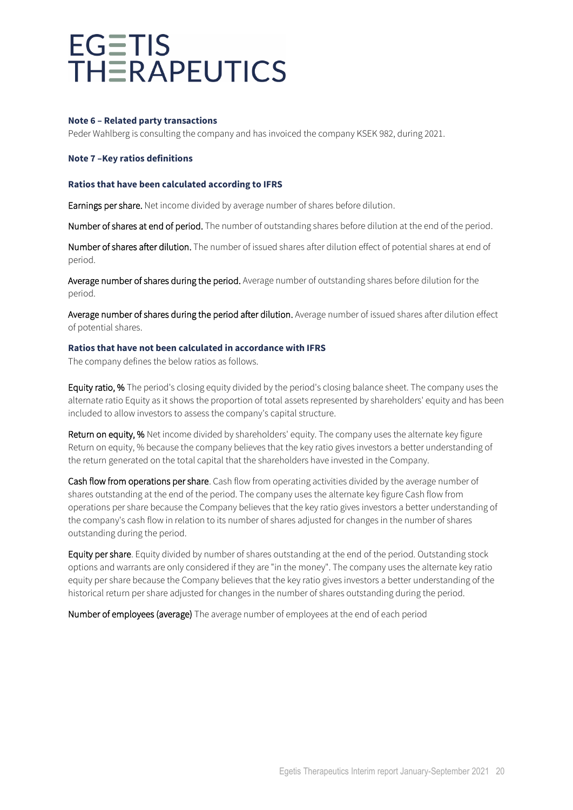#### **Note 6 – Related party transactions**

Peder Wahlberg is consulting the company and has invoiced the company KSEK 982, during 2021.

#### **Note 7 –Key ratios definitions**

#### **Ratios that have been calculated according to IFRS**

Earnings per share. Net income divided by average number of shares before dilution.

Number of shares at end of period. The number of outstanding shares before dilution at the end of the period.

Number of shares after dilution. The number of issued shares after dilution effect of potential shares at end of period.

Average number of shares during the period. Average number of outstanding shares before dilution for the period.

Average number of shares during the period after dilution. Average number of issued shares after dilution effect of potential shares.

### **Ratios that have not been calculated in accordance with IFRS**

The company defines the below ratios as follows.

Equity ratio, % The period's closing equity divided by the period's closing balance sheet. The company uses the alternate ratio Equity as it shows the proportion of total assets represented by shareholders' equity and has been included to allow investors to assess the company's capital structure.

Return on equity, % Net income divided by shareholders' equity. The company uses the alternate key figure Return on equity, % because the company believes that the key ratio gives investors a better understanding of the return generated on the total capital that the shareholders have invested in the Company.

Cash flow from operations per share. Cash flow from operating activities divided by the average number of shares outstanding at the end of the period. The company uses the alternate key figure Cash flow from operations per share because the Company believes that the key ratio gives investors a better understanding of the company's cash flow in relation to its number of shares adjusted for changes in the number of shares outstanding during the period.

Equity per share. Equity divided by number of shares outstanding at the end of the period. Outstanding stock options and warrants are only considered if they are "in the money". The company uses the alternate key ratio equity per share because the Company believes that the key ratio gives investors a better understanding of the historical return per share adjusted for changes in the number of shares outstanding during the period.

Number of employees (average) The average number of employees at the end of each period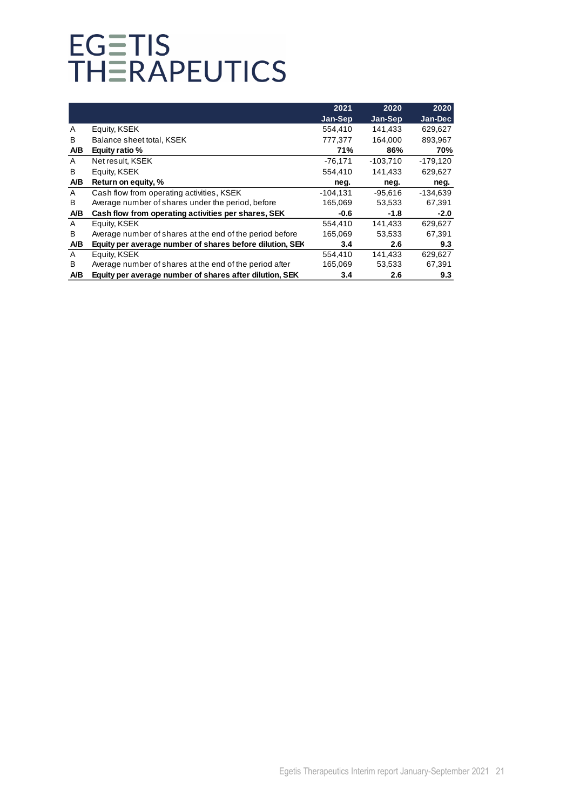|     |                                                          | 2021       | 2020       | 2020       |
|-----|----------------------------------------------------------|------------|------------|------------|
|     |                                                          | Jan-Sep    | Jan-Sep    | Jan-Dec    |
| A   | Equity, KSEK                                             | 554.410    | 141,433    | 629,627    |
| B   | Balance sheet total, KSEK                                | 777,377    | 164,000    | 893,967    |
| A/B | Equity ratio %                                           | 71%        | 86%        | 70%        |
| A   | Net result, KSEK                                         | $-76,171$  | $-103,710$ | $-179,120$ |
| B   | Equity, KSEK                                             | 554,410    | 141,433    | 629,627    |
| A/B | Return on equity, %                                      | neg.       | neg.       | neg.       |
| A   | Cash flow from operating activities, KSEK                | $-104.131$ | $-95.616$  | $-134.639$ |
| B   | Average number of shares under the period, before        | 165,069    | 53,533     | 67,391     |
| A/B | Cash flow from operating activities per shares, SEK      | $-0.6$     | $-1.8$     | $-2.0$     |
| A   | Equity, KSEK                                             | 554,410    | 141,433    | 629,627    |
| B   | Average number of shares at the end of the period before | 165,069    | 53,533     | 67,391     |
| A/B | Equity per average number of shares before dilution, SEK | 3.4        | 2.6        | 9.3        |
| A   | Equity, KSEK                                             | 554,410    | 141,433    | 629,627    |
| B   | Average number of shares at the end of the period after  | 165,069    | 53,533     | 67,391     |
| A/B | Equity per average number of shares after dilution, SEK  | 3.4        | 2.6        | 9.3        |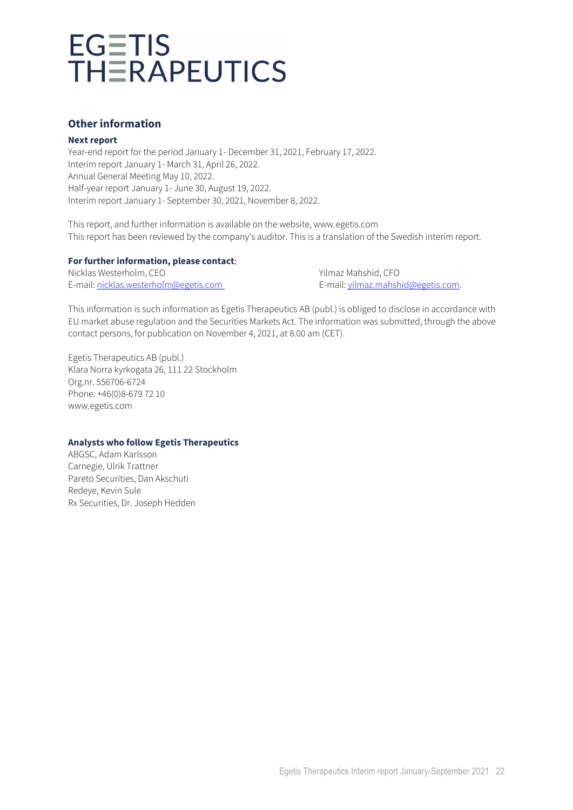### **Other information**

### **Next report**

Year-end report for the period January 1- December 31, 2021, February 17, 2022. Interim report January 1- March 31, April 26, 2022. Annual General Meeting May 10, 2022. Half-year report January 1- June 30, August 19, 2022. Interim report January 1- September 30, 2021, November 8, 2022.

This report, and further information is available on the website, www.egetis.com This report has been reviewed by the company's auditor. This is a translation of the Swedish interim report.

### **For further information, please contact**:

Nicklas Westerholm, CEO Yilmaz Mahshid, CFO E-mail: [nicklas.westerholm@egetis.com](mailto:nicklas.westerholm@egetis.com) E-mail[: yilmaz.mahshid@egetis.com.](mailto:yilmaz.mahshid@egetis.com)

This information is such information as Egetis Therapeutics AB (publ.) is obliged to disclose in accordance with EU market abuse regulation and the Securities Markets Act. The information was submitted, through the above contact persons, for publication on November 4, 2021, at 8.00 am (CET).

Egetis Therapeutics AB (publ.) Klara Norra kyrkogata 26, 111 22 Stockholm Org.nr. 556706-6724 Phone: +46(0)8-679 72 10 www.egetis.com

### **Analysts who follow Egetis Therapeutics**

ABGSC, Adam Karlsson Carnegie, Ulrik Trattner Pareto Securities, Dan Akschuti Redeye, Kevin Sule Rx Securities, Dr. Joseph Hedden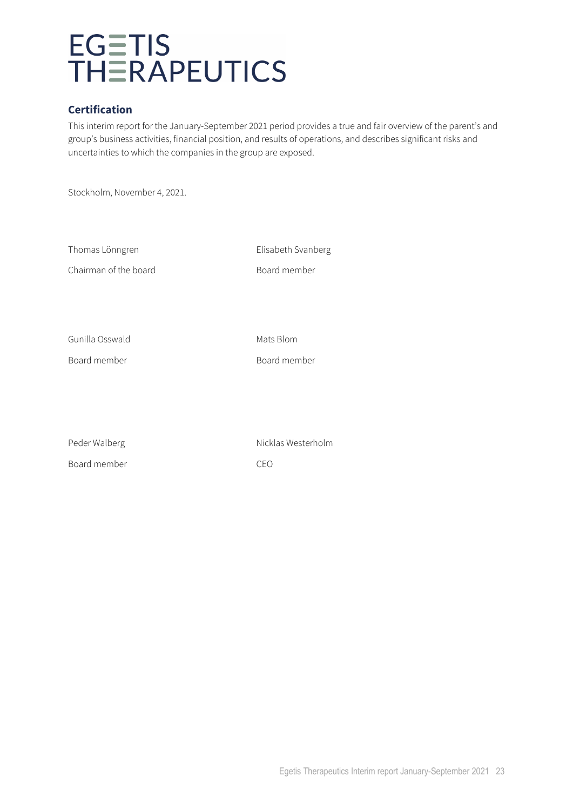### **Certification**

This interim report for the January-September 2021 period provides a true and fair overview of the parent's and group's business activities, financial position, and results of operations, and describes significant risks and uncertainties to which the companies in the group are exposed.

Stockholm, November 4, 2021.

| Thomas Lönngren       | Elisabeth Svanberg |
|-----------------------|--------------------|
| Chairman of the board | Board member       |
|                       |                    |
|                       |                    |
|                       |                    |
| Gunilla Osswald       | Mats Blom          |
| Board member          | Board member       |
|                       |                    |
|                       |                    |
|                       |                    |

| Peder Walberg | Nicklas Westerholm |
|---------------|--------------------|
| Board member  | CEO                |